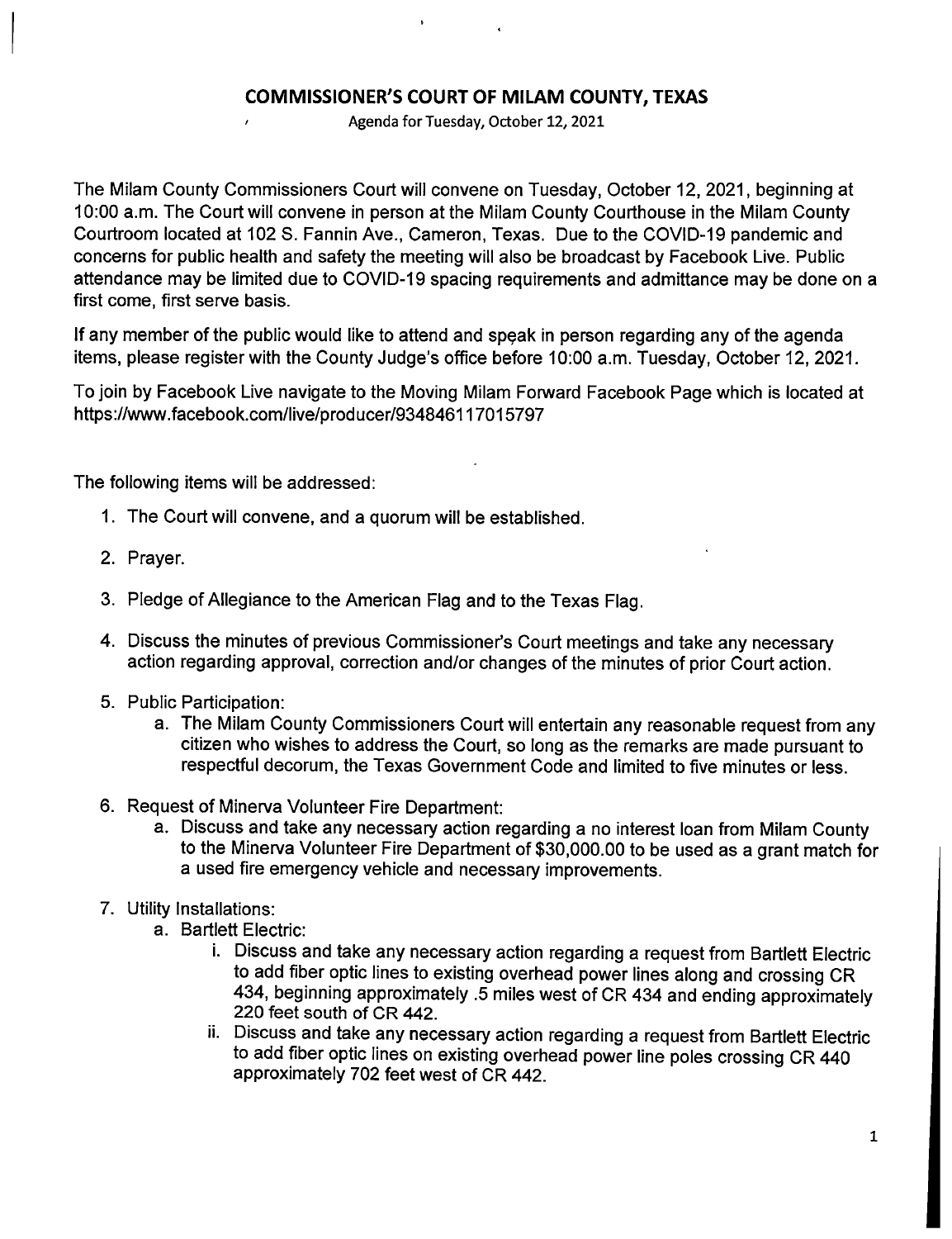## **COMMISSIONER'S COURT OF MILAM COUNTY, TEXAS**

Agenda for Tuesday, October 12, 2021

The Milam County Commissioners Court will convene on Tuesday, October 12, 2021, beginning at 10:00 a.m. The Court will convene in person at the Milam County Courthouse in the Milam County Courtroom located at 102 S. Fannin Ave., Cameron, Texas. Due to the COVID-19 pandemic and concerns for public health and safety the meeting will also be broadcast by Facebook Live. Public attendance may be limited due to COVID-19 spacing requirements and admittance may be done on a first come, first serve basis.

If any member of the public would like to attend and speak in person regarding any of the agenda items, please register with the County Judge's office before 10:00 a.m. Tuesday, October 12, 2021.

To join by Facebook Live navigate to the Moving Milam Forward Facebook Page which is located at https://www.facebook.com/1ive/producer/93484611 7015797

The following items will be addressed:

- 1. The Court will convene, and a quorum will be established.
- 2. Prayer.
- 3. Pledge of Allegiance to the American Flag and to the Texas Flag.
- 4. Discuss the minutes of previous Commissioner's Court meetings and take any necessary action regarding approval, correction and/or changes of the minutes of prior Court action.
- 5. Public Participation:
	- a. The Milam County Commissioners Court will entertain any reasonable request from any citizen who wishes to address the Court, so long as the remarks are made pursuant to respectful decorum, the Texas Government Code and limited to five minutes or less.
- 6. Request of Minerva Volunteer Fire Department:
	- a. Discuss and take any necessary action regarding a no interest loan from Milam County to the Minerva Volunteer Fire Department of \$30,000.00 to be used as a grant match for a used fire emergency vehicle and necessary improvements.
- 7. Utility Installations:
	- a. Bartlett Electric:
		- i. Discuss and take any necessary action regarding a request from Bartlett Electric to add fiber optic lines to existing overhead power lines along and crossing CR 434, beginning approximately .5 miles west of CR 434 and ending approximately 220 feet south of CR 442.
		- ii. Discuss and take any necessary action regarding a request from Bartlett Electric to add fiber optic lines on existing overhead power line poles crossing CR 440 approximately 702 feet west of CR 442.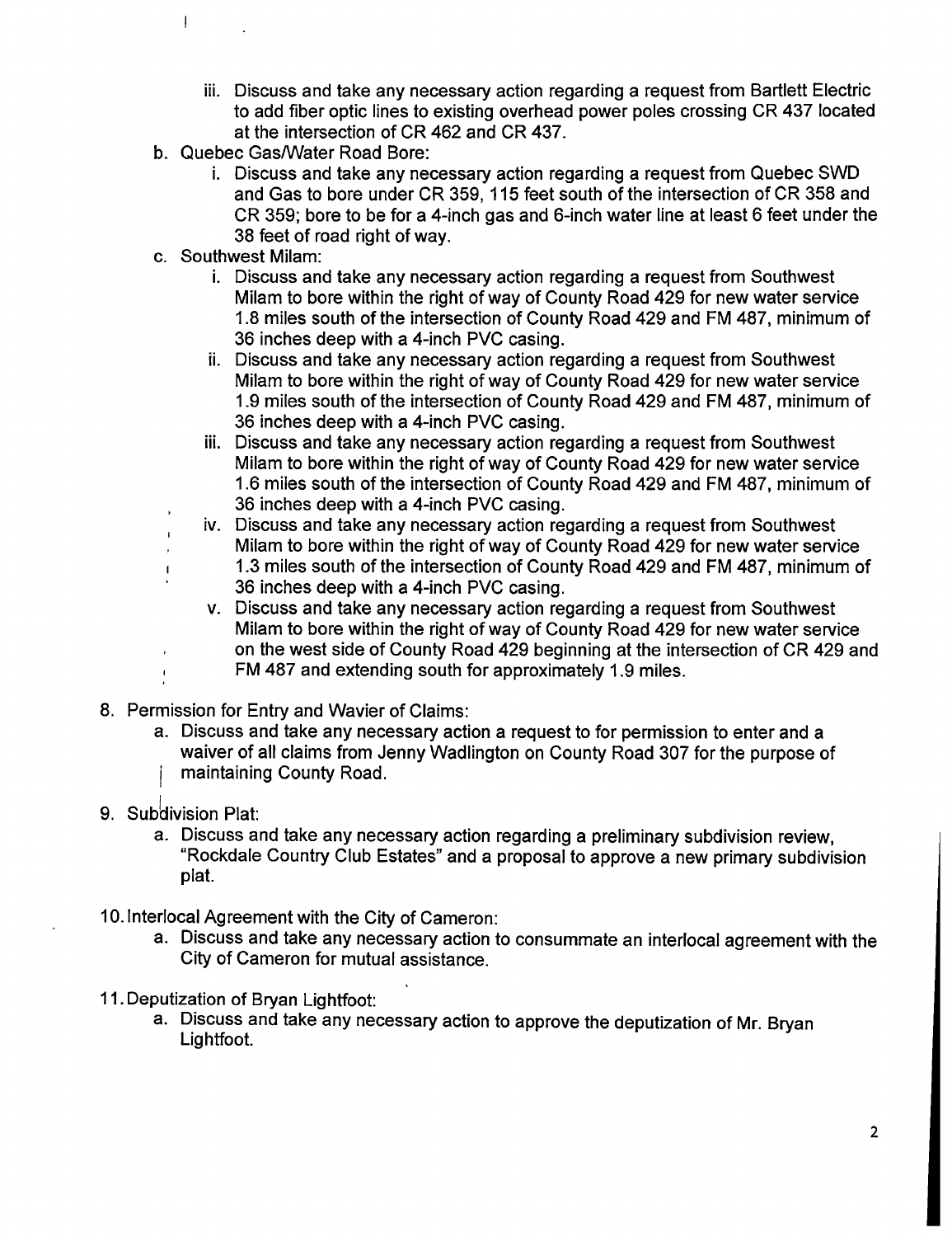- iii. Discuss and take any necessary action regarding a request from Bartlett Electric to add fiber optic lines to existing overhead power poles crossing CR 437 located at the intersection of CR 462 and CR 437.
- b. Quebec Gas/Water Road Bore:
	- i. Discuss and take any necessary action regarding a request from Quebec SWD and Gas to bore under CR 359, 115 feet south of the intersection of CR 358 and CR 359; bore to be for a 4-inch gas and 6-inch water line at least 6 feet under the 38 feet of road right of way.
- c. Southwest Milam:

 $\overline{1}$ 

- i. Discuss and take any necessary action regarding a request from Southwest Milam to bore within the right of way of County Road 429 for new water service 1.8 miles south of the intersection of County Road 429 and FM 487, minimum of 36 inches deep with a 4-inch PVC casing.
- ii. Discuss and take any necessary action regarding a request from Southwest Milam to bore within the right of way of County Road 429 for new water service 1.9 miles south of the intersection of County Road 429 and FM 487, minimum of 36 inches deep with a 4-inch PVC casing.
- iii. Discuss and take any necessary action regarding a request from Southwest Milam to bore within the right of way of County Road 429 for new water service 1.6 miles south of the intersection of County Road 429 and FM 487, minimum of 36 inches deep with a 4-inch PVC casing.
- iv. Discuss and take any necessary action regarding a request from Southwest Milam to bore within the right of way of County Road 429 for new water service 1.3 miles south of the intersection of County Road 429 and FM 487, minimum of 36 inches deep with a 4-inch PVC casing.
- v. Discuss and take any necessary action regarding a request from Southwest Milam to bore within the right of way of County Road 429 for new water service on the west side of County Road 429 beginning at the intersection of CR 429 and FM 487 and extending south for approximately 1.9 miles.
- 8. Permission for Entry and Wavier of Claims:
	- a. Discuss and take any necessary action a request to for permission to enter and a waiver of all claims from Jenny Wadlington on County Road 307 for the purpose of maintaining County Road.
- 9. Subdivision Plat:
	- a. Discuss and take any necessary action regarding a preliminary subdivision review, "Rockdale Country Club Estates" and a proposal to approve a new primary subdivision plat.
- 10. Interlocal Agreement with the City of Cameron:
	- a. Discuss and take any necessary action to consummate an interlocal agreement with the City of Cameron for mutual assistance.
- 11. Deputization of Bryan Lightfoot:
	- a. Discuss and take any necessary action to approve the deputization of Mr. Bryan Lightfoot.